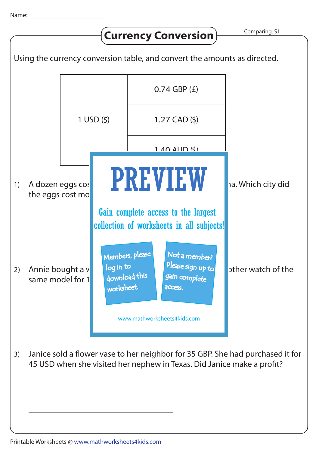